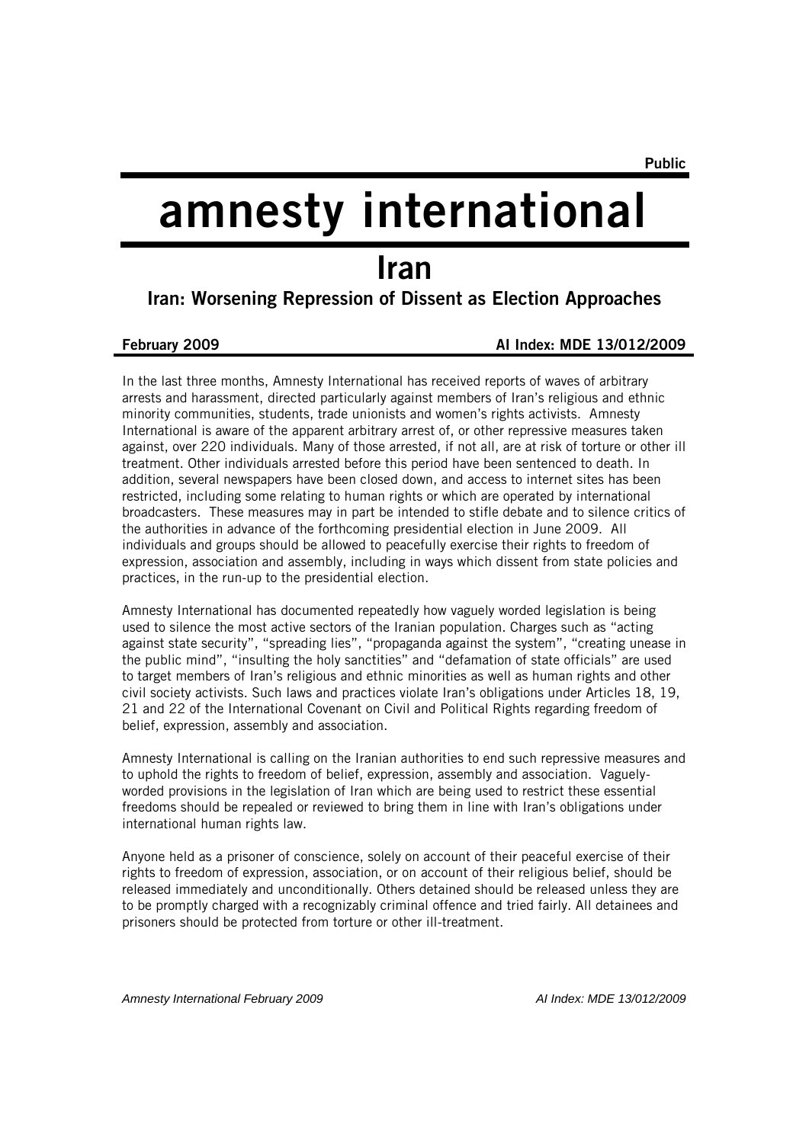# amnesty international

# Iran

## Iran: Worsening Repression of Dissent as Election Approaches

#### February 2009 AI Index: MDE 13/012/2009

In the last three months, Amnesty International has received reports of waves of arbitrary arrests and harassment, directed particularly against members of Iran's religious and ethnic minority communities, students, trade unionists and women's rights activists. Amnesty International is aware of the apparent arbitrary arrest of, or other repressive measures taken against, over 220 individuals. Many of those arrested, if not all, are at risk of torture or other ill treatment. Other individuals arrested before this period have been sentenced to death. In addition, several newspapers have been closed down, and access to internet sites has been restricted, including some relating to human rights or which are operated by international broadcasters. These measures may in part be intended to stifle debate and to silence critics of the authorities in advance of the forthcoming presidential election in June 2009. All individuals and groups should be allowed to peacefully exercise their rights to freedom of expression, association and assembly, including in ways which dissent from state policies and practices, in the run-up to the presidential election.

Amnesty International has documented repeatedly how vaguely worded legislation is being used to silence the most active sectors of the Iranian population. Charges such as "acting against state security", "spreading lies", "propaganda against the system", "creating unease in the public mind", "insulting the holy sanctities" and "defamation of state officials" are used to target members of Iran's religious and ethnic minorities as well as human rights and other civil society activists. Such laws and practices violate Iran's obligations under Articles 18, 19, 21 and 22 of the International Covenant on Civil and Political Rights regarding freedom of belief, expression, assembly and association.

Amnesty International is calling on the Iranian authorities to end such repressive measures and to uphold the rights to freedom of belief, expression, assembly and association. Vaguelyworded provisions in the legislation of Iran which are being used to restrict these essential freedoms should be repealed or reviewed to bring them in line with Iran's obligations under international human rights law.

Anyone held as a prisoner of conscience, solely on account of their peaceful exercise of their rights to freedom of expression, association, or on account of their religious belief, should be released immediately and unconditionally. Others detained should be released unless they are to be promptly charged with a recognizably criminal offence and tried fairly. All detainees and prisoners should be protected from torture or other ill-treatment.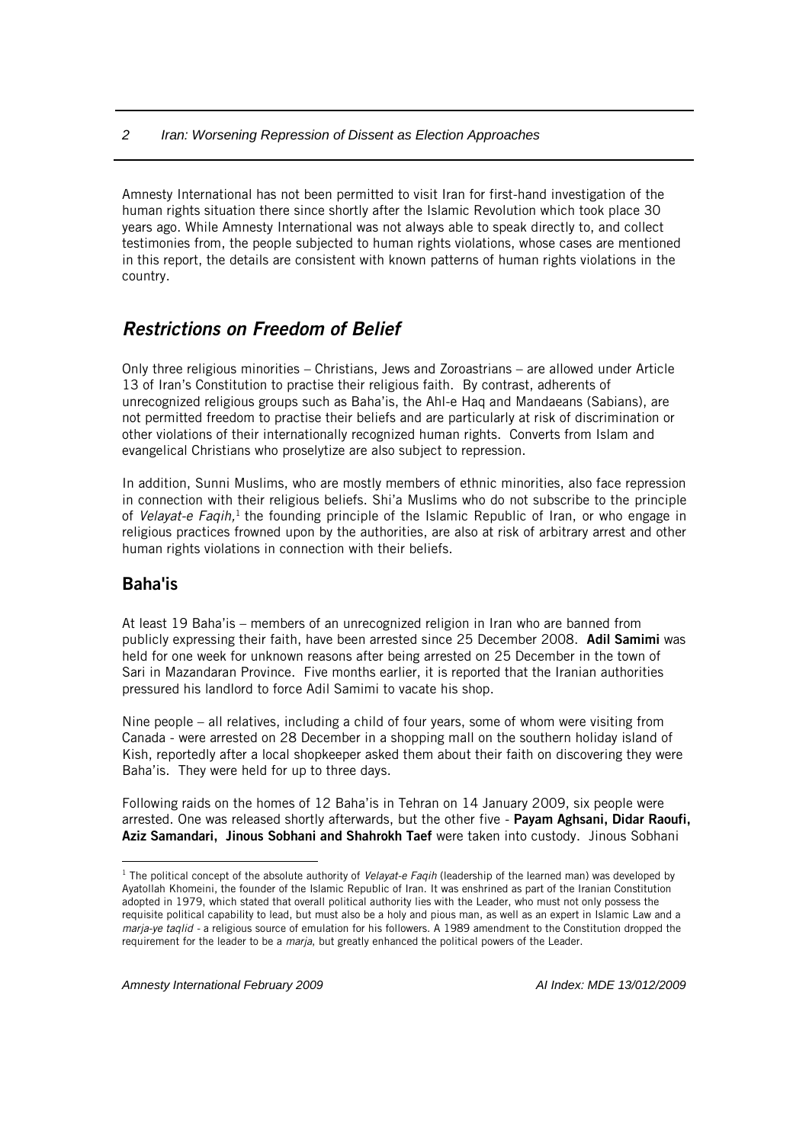Amnesty International has not been permitted to visit Iran for first-hand investigation of the human rights situation there since shortly after the Islamic Revolution which took place 30 years ago. While Amnesty International was not always able to speak directly to, and collect testimonies from, the people subjected to human rights violations, whose cases are mentioned in this report, the details are consistent with known patterns of human rights violations in the country.

## *Restrictions on Freedom of Belief*

Only three religious minorities – Christians, Jews and Zoroastrians – are allowed under Article 13 of Iran's Constitution to practise their religious faith. By contrast, adherents of unrecognized religious groups such as Baha'is, the Ahl-e Haq and Mandaeans (Sabians), are not permitted freedom to practise their beliefs and are particularly at risk of discrimination or other violations of their internationally recognized human rights. Converts from Islam and evangelical Christians who proselytize are also subject to repression.

In addition, Sunni Muslims, who are mostly members of ethnic minorities, also face repression in connection with their religious beliefs. Shi'a Muslims who do not subscribe to the principle of *Velayat-e Faqih*,<sup>1</sup> the founding principle of the Islamic Republic of Iran, or who engage in religious practices frowned upon by the authorities, are also at risk of arbitrary arrest and other human rights violations in connection with their beliefs.

## Baha'is

 $\overline{a}$ 

At least 19 Baha'is – members of an unrecognized religion in Iran who are banned from publicly expressing their faith, have been arrested since 25 December 2008. Adil Samimi was held for one week for unknown reasons after being arrested on 25 December in the town of Sari in Mazandaran Province. Five months earlier, it is reported that the Iranian authorities pressured his landlord to force Adil Samimi to vacate his shop.

Nine people – all relatives, including a child of four years, some of whom were visiting from Canada - were arrested on 28 December in a shopping mall on the southern holiday island of Kish, reportedly after a local shopkeeper asked them about their faith on discovering they were Baha'is. They were held for up to three days.

Following raids on the homes of 12 Baha'is in Tehran on 14 January 2009, six people were arrested. One was released shortly afterwards, but the other five - Payam Aghsani, Didar Raoufi, Aziz Samandari, Jinous Sobhani and Shahrokh Taef were taken into custody. Jinous Sobhani

<sup>1</sup> The political concept of the absolute authority of *Velayat-e Faqih* (leadership of the learned man) was developed by Ayatollah Khomeini, the founder of the Islamic Republic of Iran. It was enshrined as part of the Iranian Constitution adopted in 1979, which stated that overall political authority lies with the Leader, who must not only possess the requisite political capability to lead, but must also be a holy and pious man, as well as an expert in Islamic Law and a *marja-ye taqlid -* a religious source of emulation for his followers. A 1989 amendment to the Constitution dropped the requirement for the leader to be a *marja*, but greatly enhanced the political powers of the Leader.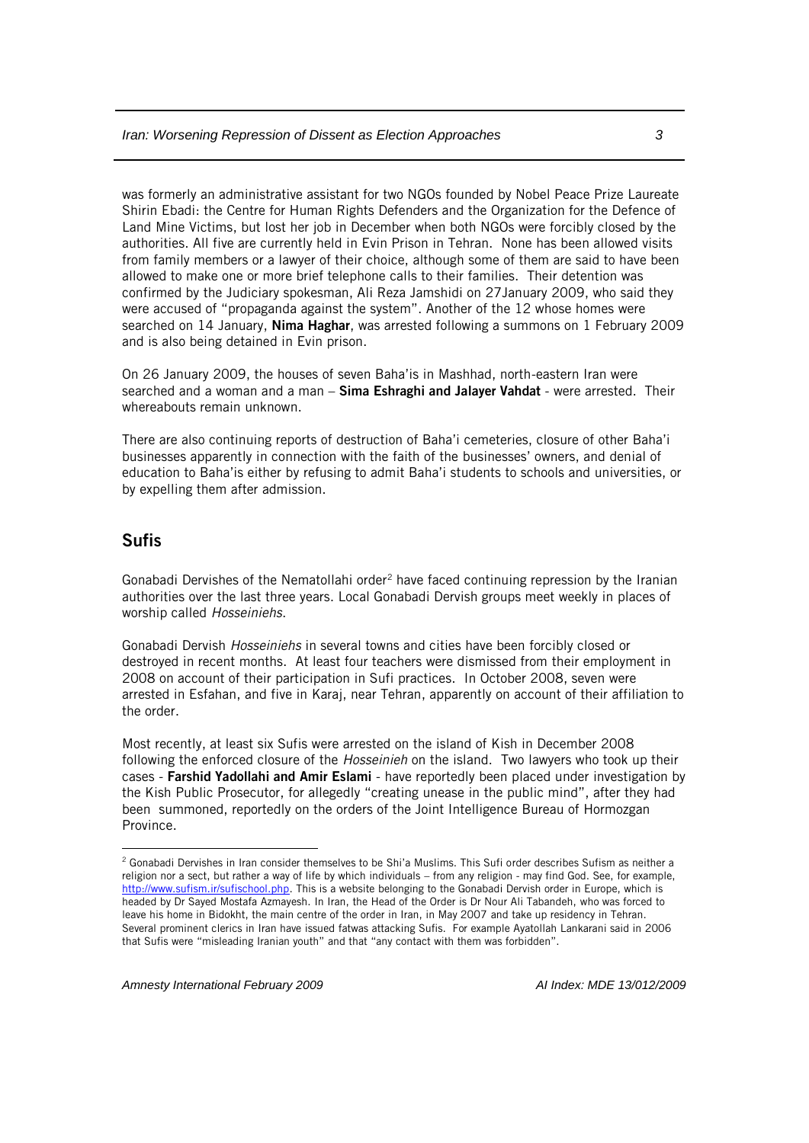was formerly an administrative assistant for two NGOs founded by Nobel Peace Prize Laureate Shirin Ebadi: the Centre for Human Rights Defenders and the Organization for the Defence of Land Mine Victims, but lost her job in December when both NGOs were forcibly closed by the authorities. All five are currently held in Evin Prison in Tehran. None has been allowed visits from family members or a lawyer of their choice, although some of them are said to have been allowed to make one or more brief telephone calls to their families. Their detention was confirmed by the Judiciary spokesman, Ali Reza Jamshidi on 27January 2009, who said they were accused of "propaganda against the system". Another of the 12 whose homes were searched on 14 January, Nima Haghar, was arrested following a summons on 1 February 2009 and is also being detained in Evin prison.

On 26 January 2009, the houses of seven Baha'is in Mashhad, north-eastern Iran were searched and a woman and a man - Sima Eshraghi and Jalayer Vahdat - were arrested. Their whereabouts remain unknown.

There are also continuing reports of destruction of Baha'i cemeteries, closure of other Baha'i businesses apparently in connection with the faith of the businesses' owners, and denial of education to Baha'is either by refusing to admit Baha'i students to schools and universities, or by expelling them after admission.

#### Sufis

 $\overline{a}$ 

Gonabadi Dervishes of the Nematollahi order<sup>2</sup> have faced continuing repression by the Iranian authorities over the last three years. Local Gonabadi Dervish groups meet weekly in places of worship called *Hosseiniehs*.

Gonabadi Dervish *Hosseiniehs* in several towns and cities have been forcibly closed or destroyed in recent months. At least four teachers were dismissed from their employment in 2008 on account of their participation in Sufi practices. In October 2008, seven were arrested in Esfahan, and five in Karaj, near Tehran, apparently on account of their affiliation to the order.

Most recently, at least six Sufis were arrested on the island of Kish in December 2008 following the enforced closure of the *Hosseinieh* on the island. Two lawyers who took up their cases - Farshid Yadollahi and Amir Eslami - have reportedly been placed under investigation by the Kish Public Prosecutor, for allegedly "creating unease in the public mind", after they had been summoned, reportedly on the orders of the Joint Intelligence Bureau of Hormozgan Province.

<sup>&</sup>lt;sup>2</sup> Gonabadi Dervishes in Iran consider themselves to be Shi'a Muslims. This Sufi order describes Sufism as neither a religion nor a sect, but rather a way of life by which individuals – from any religion - may find God. See, for example, [http://www.sufism.ir/sufischool.php.](http://www.sufism.ir/sufischool.php) This is a website belonging to the Gonabadi Dervish order in Europe, which is headed by Dr Sayed Mostafa Azmayesh. In Iran, the Head of the Order is Dr Nour Ali Tabandeh, who was forced to leave his home in Bidokht, the main centre of the order in Iran, in May 2007 and take up residency in Tehran. Several prominent clerics in Iran have issued fatwas attacking Sufis. For example Ayatollah Lankarani said in 2006 that Sufis were "misleading Iranian youth" and that "any contact with them was forbidden".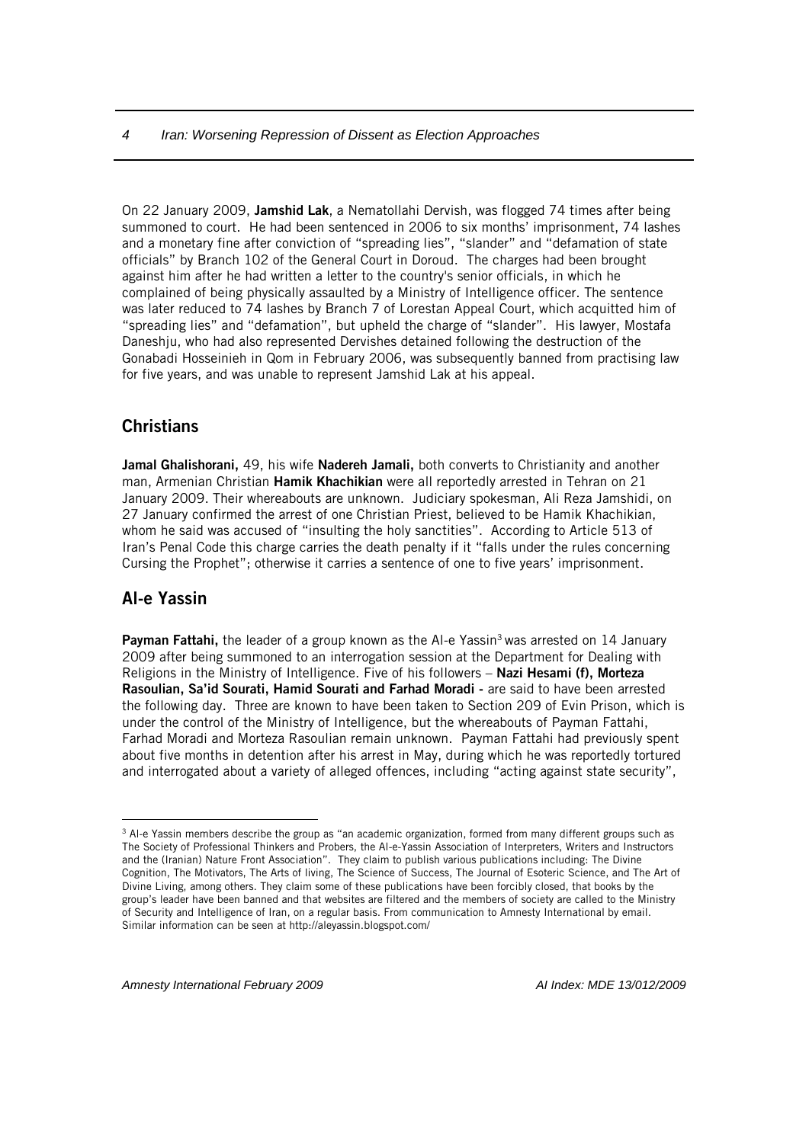On 22 January 2009, Jamshid Lak, a Nematollahi Dervish, was flogged 74 times after being summoned to court. He had been sentenced in 2006 to six months' imprisonment, 74 lashes and a monetary fine after conviction of "spreading lies", "slander" and "defamation of state officials" by Branch 102 of the General Court in Doroud. The charges had been brought against him after he had written a letter to the country's senior officials, in which he complained of being physically assaulted by a Ministry of Intelligence officer. The sentence was later reduced to 74 lashes by Branch 7 of Lorestan Appeal Court, which acquitted him of "spreading lies" and "defamation", but upheld the charge of "slander". His lawyer, Mostafa Daneshju, who had also represented Dervishes detained following the destruction of the Gonabadi Hosseinieh in Qom in February 2006, was subsequently banned from practising law for five years, and was unable to represent Jamshid Lak at his appeal.

#### **Christians**

Jamal Ghalishorani, 49, his wife Nadereh Jamali, both converts to Christianity and another man, Armenian Christian Hamik Khachikian were all reportedly arrested in Tehran on 21 January 2009. Their whereabouts are unknown. Judiciary spokesman, Ali Reza Jamshidi, on 27 January confirmed the arrest of one Christian Priest, believed to be Hamik Khachikian, whom he said was accused of "insulting the holy sanctities". According to Article 513 of Iran's Penal Code this charge carries the death penalty if it "falls under the rules concerning Cursing the Prophet"; otherwise it carries a sentence of one to five years' imprisonment.

#### Al-e Yassin

 $\overline{a}$ 

**Payman Fattahi,** the leader of a group known as the Al-e Yassin<sup>3</sup> was arrested on 14 January 2009 after being summoned to an interrogation session at the Department for Dealing with Religions in the Ministry of Intelligence. Five of his followers - Nazi Hesami (f), Morteza Rasoulian, Sa'id Sourati, Hamid Sourati and Farhad Moradi - are said to have been arrested the following day. Three are known to have been taken to Section 209 of Evin Prison, which is under the control of the Ministry of Intelligence, but the whereabouts of Payman Fattahi, Farhad Moradi and Morteza Rasoulian remain unknown. Payman Fattahi had previously spent about five months in detention after his arrest in May, during which he was reportedly tortured and interrogated about a variety of alleged offences, including "acting against state security",

<sup>&</sup>lt;sup>3</sup> Al-e Yassin members describe the group as "an academic organization, formed from many different groups such as The Society of Professional Thinkers and Probers, the Al-e-Yassin Association of Interpreters, Writers and Instructors and the (Iranian) Nature Front Association". They claim to publish various publications including: The Divine Cognition, The Motivators, The Arts of living, The Science of Success, The Journal of Esoteric Science, and The Art of Divine Living, among others. They claim some of these publications have been forcibly closed, that books by the group's leader have been banned and that websites are filtered and the members of society are called to the Ministry of Security and Intelligence of Iran, on a regular basis. From communication to Amnesty International by email. Similar information can be seen at http://aleyassin.blogspot.com/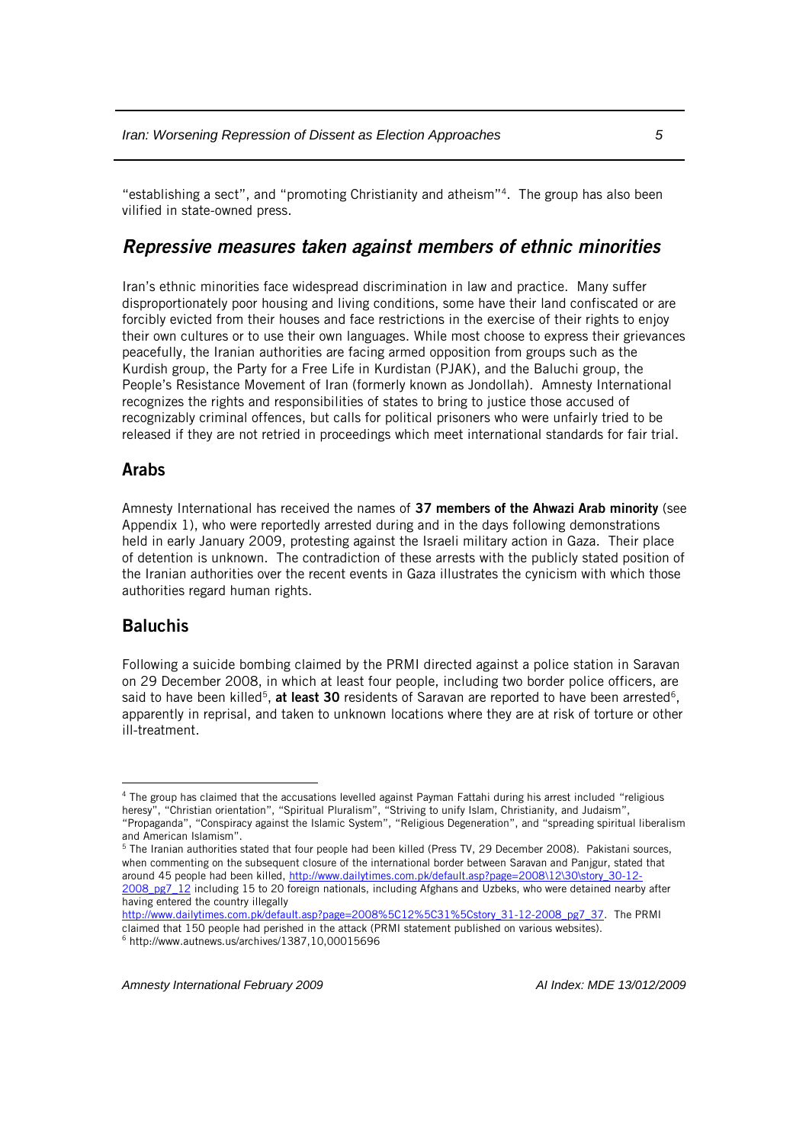"establishing a sect", and "promoting Christianity and atheism"<sup>4</sup> . The group has also been vilified in state-owned press.

#### *Repressive measures taken against members of ethnic minorities*

Iran's ethnic minorities face widespread discrimination in law and practice. Many suffer disproportionately poor housing and living conditions, some have their land confiscated or are forcibly evicted from their houses and face restrictions in the exercise of their rights to enjoy their own cultures or to use their own languages. While most choose to express their grievances peacefully, the Iranian authorities are facing armed opposition from groups such as the Kurdish group, the Party for a Free Life in Kurdistan (PJAK), and the Baluchi group, the People's Resistance Movement of Iran (formerly known as Jondollah). Amnesty International recognizes the rights and responsibilities of states to bring to justice those accused of recognizably criminal offences, but calls for political prisoners who were unfairly tried to be released if they are not retried in proceedings which meet international standards for fair trial.

#### Arabs

Amnesty International has received the names of 37 members of the Ahwazi Arab minority (see Appendix 1), who were reportedly arrested during and in the days following demonstrations held in early January 2009, protesting against the Israeli military action in Gaza. Their place of detention is unknown. The contradiction of these arrests with the publicly stated position of the Iranian authorities over the recent events in Gaza illustrates the cynicism with which those authorities regard human rights.

#### Baluchis

 $\overline{a}$ 

Following a suicide bombing claimed by the PRMI directed against a police station in Saravan on 29 December 2008, in which at least four people, including two border police officers, are said to have been killed<sup>5</sup>, at least 30 residents of Saravan are reported to have been arrested<sup>6</sup>, apparently in reprisal, and taken to unknown locations where they are at risk of torture or other ill-treatment.

[http://www.dailytimes.com.pk/default.asp?page=2008%5C12%5C31%5Cstory\\_31-12-2008\\_pg7\\_37.](http://www.dailytimes.com.pk/default.asp?page=2008%5C12%5C31%5Cstory_31-12-2008_pg7_37) The PRMI claimed that 150 people had perished in the attack (PRMI statement published on various websites).

<sup>4</sup> The group has claimed that the accusations levelled against Payman Fattahi during his arrest included "religious heresy", "Christian orientation", "Spiritual Pluralism", "Striving to unify Islam, Christianity, and Judaism", "Propaganda", "Conspiracy against the Islamic System", "Religious Degeneration", and "spreading spiritual liberalism and American Islamism".

<sup>&</sup>lt;sup>5</sup> The Iranian authorities stated that four people had been killed (Press TV, 29 December 2008). Pakistani sources, when commenting on the subsequent closure of the international border between Saravan and Panjgur, stated that around 45 people had been killed[, http://www.dailytimes.com.pk/default.asp?page=2008\12\30\story\\_30-12-](http://www.dailytimes.com.pk/default.asp?page=2008/12/30/story_30-12-2008_pg7_12) [2008\\_pg7\\_12](http://www.dailytimes.com.pk/default.asp?page=2008/12/30/story_30-12-2008_pg7_12) including 15 to 20 foreign nationals, including Afghans and Uzbeks, who were detained nearby after having entered the country illegally

 $6$  http://www.autnews.us/archives/1387,10,00015696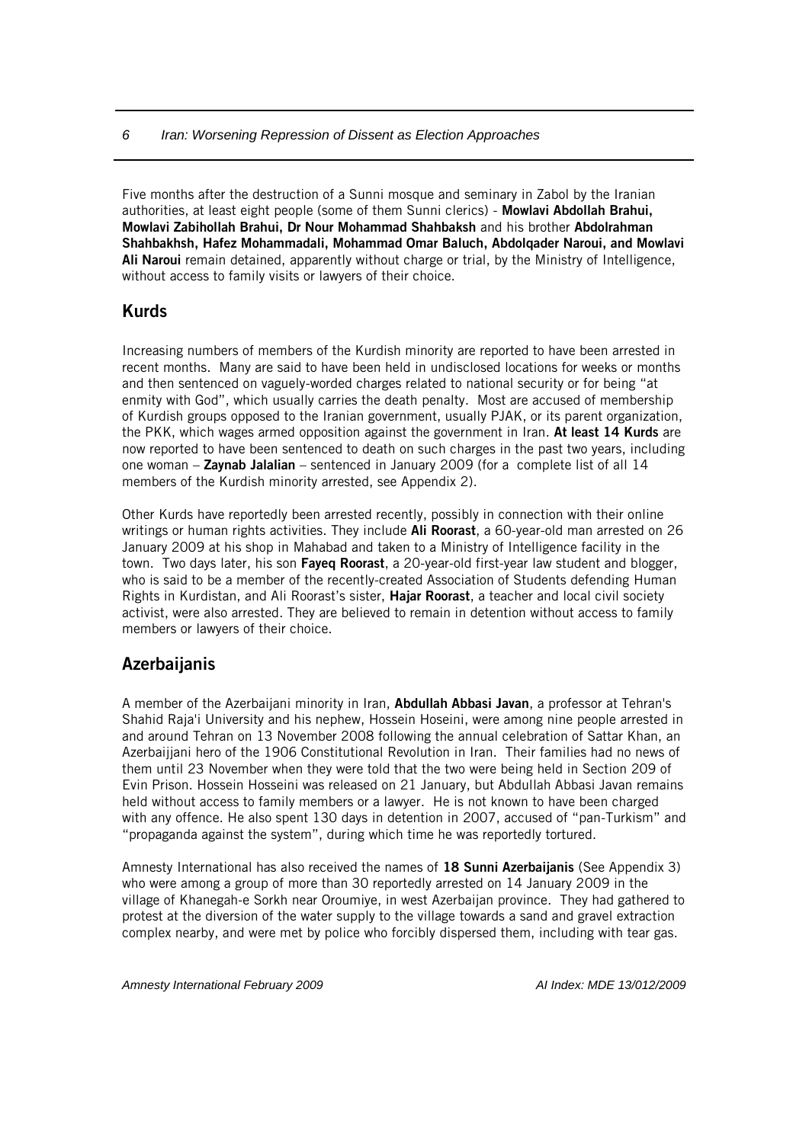Five months after the destruction of a Sunni mosque and seminary in Zabol by the Iranian authorities, at least eight people (some of them Sunni clerics) - Mowlavi Abdollah Brahui, Mowlavi Zabihollah Brahui, Dr Nour Mohammad Shahbaksh and his brother Abdolrahman Shahbakhsh, Hafez Mohammadali, Mohammad Omar Baluch, Abdolqader Naroui, and Mowlavi Ali Naroui remain detained, apparently without charge or trial, by the Ministry of Intelligence, without access to family visits or lawyers of their choice.

#### Kurds

Increasing numbers of members of the Kurdish minority are reported to have been arrested in recent months. Many are said to have been held in undisclosed locations for weeks or months and then sentenced on vaguely-worded charges related to national security or for being "at enmity with God", which usually carries the death penalty. Most are accused of membership of Kurdish groups opposed to the Iranian government, usually PJAK, or its parent organization, the PKK, which wages armed opposition against the government in Iran. At least 14 Kurds are now reported to have been sentenced to death on such charges in the past two years, including one woman  $-$  Zaynab Jalalian – sentenced in January 2009 (for a complete list of all 14 members of the Kurdish minority arrested, see Appendix 2).

Other Kurds have reportedly been arrested recently, possibly in connection with their online writings or human rights activities. They include Ali Roorast, a 60-year-old man arrested on 26 January 2009 at his shop in Mahabad and taken to a Ministry of Intelligence facility in the town. Two days later, his son **Fayed Roorast**, a 20-year-old first-year law student and blogger, who is said to be a member of the recently-created Association of Students defending Human Rights in Kurdistan, and Ali Roorast's sister, Hajar Roorast, a teacher and local civil society activist, were also arrested. They are believed to remain in detention without access to family members or lawyers of their choice.

## **Azerbaijanis**

A member of the Azerbaijani minority in Iran, Abdullah Abbasi Javan, a professor at Tehran's Shahid Raja'i University and his nephew, Hossein Hoseini, were among nine people arrested in and around Tehran on 13 November 2008 following the annual celebration of Sattar Khan, an Azerbaijjani hero of the 1906 Constitutional Revolution in Iran. Their families had no news of them until 23 November when they were told that the two were being held in Section 209 of Evin Prison. Hossein Hosseini was released on 21 January, but Abdullah Abbasi Javan remains held without access to family members or a lawyer. He is not known to have been charged with any offence. He also spent 130 days in detention in 2007, accused of "pan-Turkism" and "propaganda against the system", during which time he was reportedly tortured.

Amnesty International has also received the names of 18 Sunni Azerbaijanis (See Appendix 3) who were among a group of more than 30 reportedly arrested on 14 January 2009 in the village of Khanegah-e Sorkh near Oroumiye, in west Azerbaijan province. They had gathered to protest at the diversion of the water supply to the village towards a sand and gravel extraction complex nearby, and were met by police who forcibly dispersed them, including with tear gas.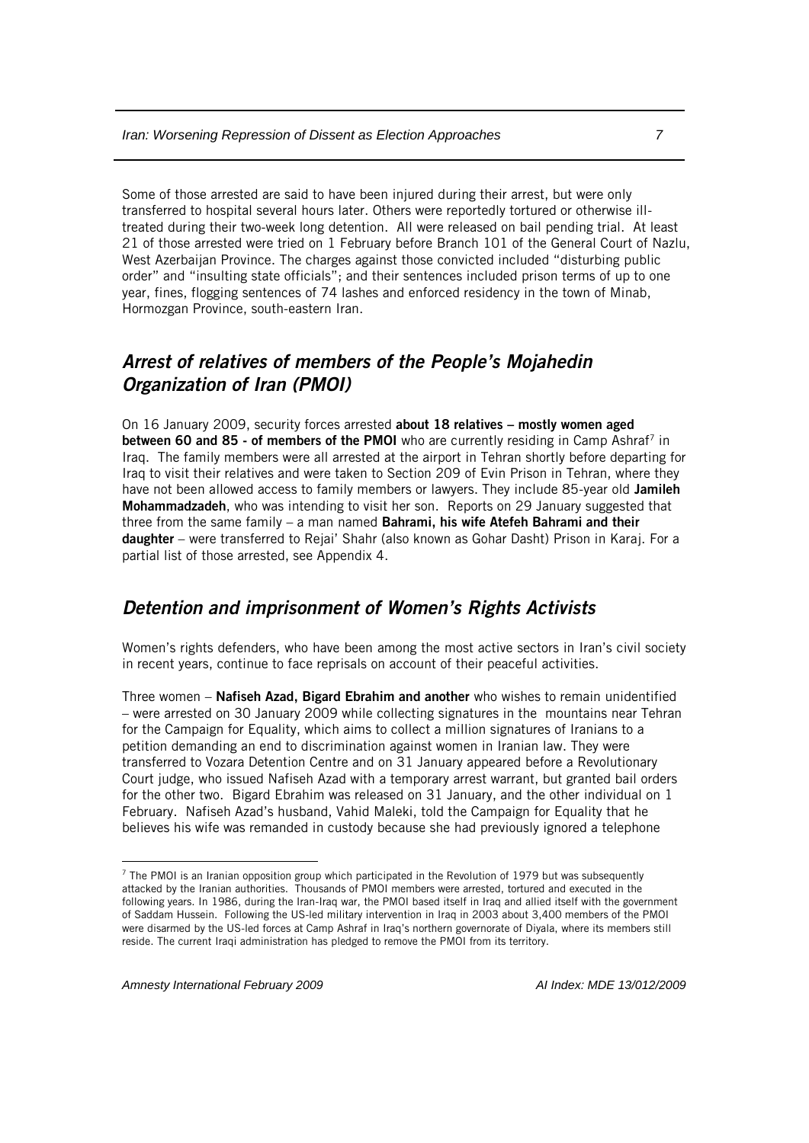Some of those arrested are said to have been injured during their arrest, but were only transferred to hospital several hours later. Others were reportedly tortured or otherwise illtreated during their two-week long detention. All were released on bail pending trial. At least 21 of those arrested were tried on 1 February before Branch 101 of the General Court of Nazlu, West Azerbaijan Province. The charges against those convicted included "disturbing public order" and "insulting state officials"; and their sentences included prison terms of up to one year, fines, flogging sentences of 74 lashes and enforced residency in the town of Minab, Hormozgan Province, south-eastern Iran.

## *Arrest of relatives of members of the People's Mojahedin Organization of Iran (PMOI)*

On 16 January 2009, security forces arrested about 18 relatives – mostly women aged between 60 and 85 - of members of the PMOI who are currently residing in Camp Ashraf<sup>7</sup> in Iraq. The family members were all arrested at the airport in Tehran shortly before departing for Iraq to visit their relatives and were taken to Section 209 of Evin Prison in Tehran, where they have not been allowed access to family members or lawyers. They include 85-year old Jamileh Mohammadzadeh, who was intending to visit her son. Reports on 29 January suggested that three from the same family – a man named Bahrami, his wife Atefeh Bahrami and their daughter – were transferred to Rejai' Shahr (also known as Gohar Dasht) Prison in Karaj. For a partial list of those arrested, see Appendix 4.

## *Detention and imprisonment of Women's Rights Activists*

Women's rights defenders, who have been among the most active sectors in Iran's civil society in recent years, continue to face reprisals on account of their peaceful activities.

Three women – Nafiseh Azad, Bigard Ebrahim and another who wishes to remain unidentified – were arrested on 30 January 2009 while collecting signatures in the mountains near Tehran for the Campaign for Equality, which aims to collect a million signatures of Iranians to a petition demanding an end to discrimination against women in Iranian law. They were transferred to Vozara Detention Centre and on 31 January appeared before a Revolutionary Court judge, who issued Nafiseh Azad with a temporary arrest warrant, but granted bail orders for the other two. Bigard Ebrahim was released on 31 January, and the other individual on 1 February. Nafiseh Azad's husband, Vahid Maleki, told the Campaign for Equality that he believes his wife was remanded in custody because she had previously ignored a telephone

 $\overline{a}$ 

<sup>7</sup> The PMOI is an Iranian opposition group which participated in the Revolution of 1979 but was subsequently attacked by the Iranian authorities. Thousands of PMOI members were arrested, tortured and executed in the following years. In 1986, during the Iran-Iraq war, the PMOI based itself in Iraq and allied itself with the government of Saddam Hussein. Following the US-led military intervention in Iraq in 2003 about 3,400 members of the PMOI were disarmed by the US-led forces at Camp Ashraf in Iraq's northern governorate of Diyala, where its members still reside. The current Iraqi administration has pledged to remove the PMOI from its territory.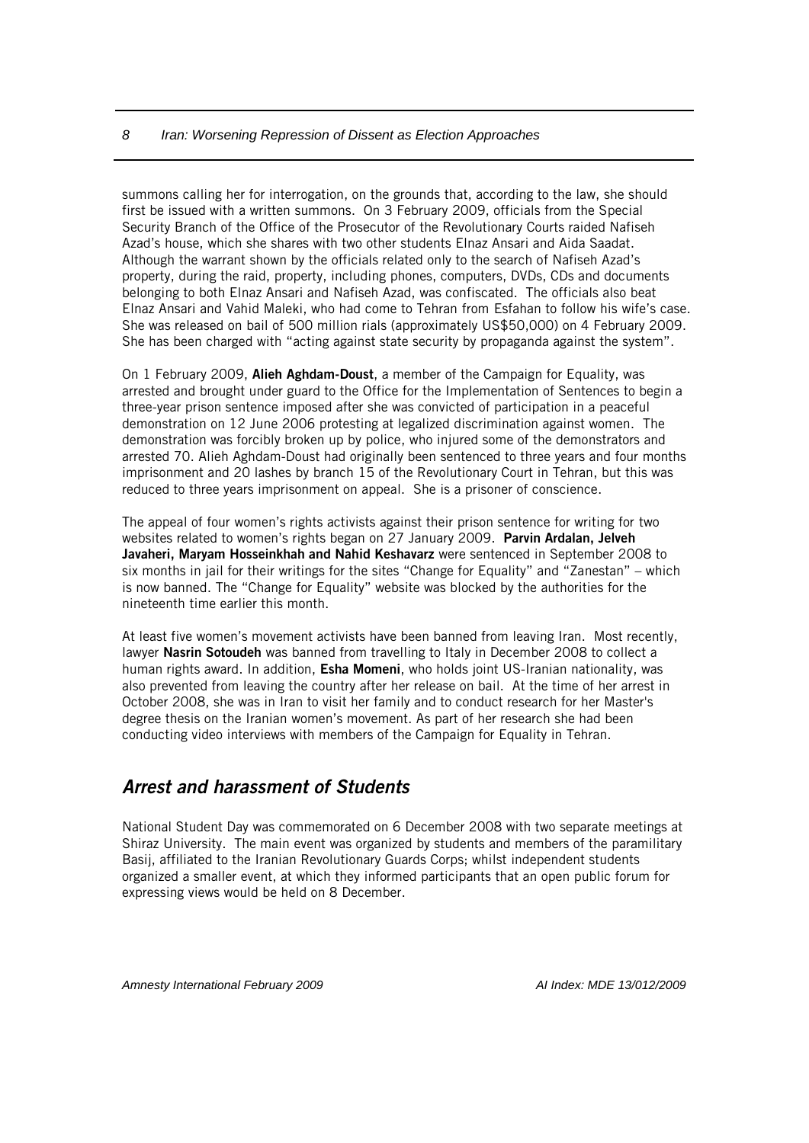summons calling her for interrogation, on the grounds that, according to the law, she should first be issued with a written summons. On 3 February 2009, officials from the Special Security Branch of the Office of the Prosecutor of the Revolutionary Courts raided Nafiseh Azad's house, which she shares with two other students Elnaz Ansari and Aida Saadat. Although the warrant shown by the officials related only to the search of Nafiseh Azad's property, during the raid, property, including phones, computers, DVDs, CDs and documents belonging to both Elnaz Ansari and Nafiseh Azad, was confiscated. The officials also beat Elnaz Ansari and Vahid Maleki, who had come to Tehran from Esfahan to follow his wife's case. She was released on bail of 500 million rials (approximately US\$50,000) on 4 February 2009. She has been charged with "acting against state security by propaganda against the system".

On 1 February 2009, Alieh Aghdam-Doust, a member of the Campaign for Equality, was arrested and brought under guard to the Office for the Implementation of Sentences to begin a three-year prison sentence imposed after she was convicted of participation in a peaceful demonstration on 12 June 2006 protesting at legalized discrimination against women. The demonstration was forcibly broken up by police, who injured some of the demonstrators and arrested 70. Alieh Aghdam-Doust had originally been sentenced to three years and four months imprisonment and 20 lashes by branch 15 of the Revolutionary Court in Tehran, but this was reduced to three years imprisonment on appeal. She is a prisoner of conscience.

The appeal of four women's rights activists against their prison sentence for writing for two websites related to women's rights began on 27 January 2009. Parvin Ardalan, Jelveh Javaheri, Maryam Hosseinkhah and Nahid Keshavarz were sentenced in September 2008 to six months in jail for their writings for the sites "Change for Equality" and "Zanestan" – which is now banned. The "Change for Equality" website was blocked by the authorities for the nineteenth time earlier this month.

At least five women's movement activists have been banned from leaving Iran. Most recently, lawyer Nasrin Sotoudeh was banned from travelling to Italy in December 2008 to collect a human rights award. In addition, Esha Momeni, who holds joint US-Iranian nationality, was also prevented from leaving the country after her release on bail. At the time of her arrest in October 2008, she was in Iran to visit her family and to conduct research for her Master's degree thesis on the Iranian women's movement. As part of her research she had been conducting video interviews with members of the Campaign for Equality in Tehran.

## *Arrest and harassment of Students*

National Student Day was commemorated on 6 December 2008 with two separate meetings at Shiraz University. The main event was organized by students and members of the paramilitary Basij, affiliated to the Iranian Revolutionary Guards Corps; whilst independent students organized a smaller event, at which they informed participants that an open public forum for expressing views would be held on 8 December.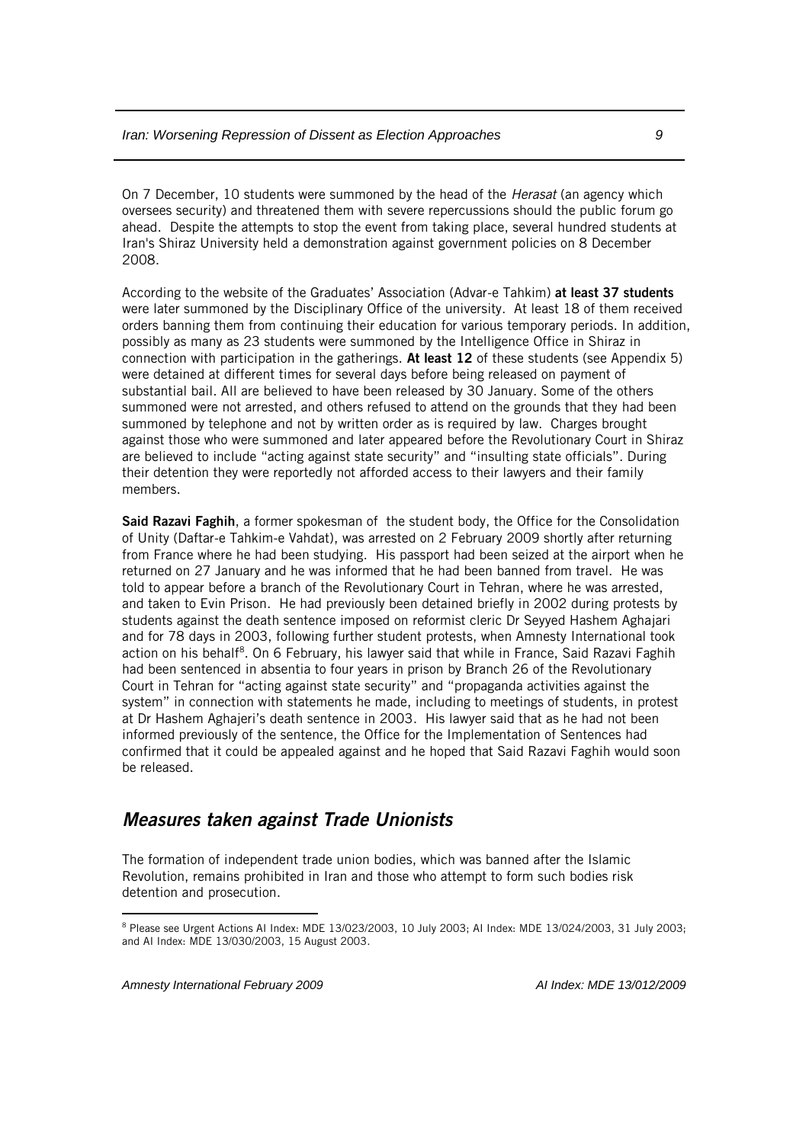On 7 December, 10 students were summoned by the head of the *Herasat* (an agency which oversees security) and threatened them with severe repercussions should the public forum go ahead. Despite the attempts to stop the event from taking place, several hundred students at Iran's Shiraz University held a demonstration against government policies on 8 December 2008.

According to the website of the Graduates' Association (Advar-e Tahkim) at least 37 students were later summoned by the Disciplinary Office of the university. At least 18 of them received orders banning them from continuing their education for various temporary periods. In addition, possibly as many as 23 students were summoned by the Intelligence Office in Shiraz in connection with participation in the gatherings. At least 12 of these students (see Appendix 5) were detained at different times for several days before being released on payment of substantial bail. All are believed to have been released by 30 January. Some of the others summoned were not arrested, and others refused to attend on the grounds that they had been summoned by telephone and not by written order as is required by law. Charges brought against those who were summoned and later appeared before the Revolutionary Court in Shiraz are believed to include "acting against state security" and "insulting state officials". During their detention they were reportedly not afforded access to their lawyers and their family members.

Said Razavi Faghih, a former spokesman of the student body, the Office for the Consolidation of Unity (Daftar-e Tahkim-e Vahdat), was arrested on 2 February 2009 shortly after returning from France where he had been studying. His passport had been seized at the airport when he returned on 27 January and he was informed that he had been banned from travel. He was told to appear before a branch of the Revolutionary Court in Tehran, where he was arrested, and taken to Evin Prison. He had previously been detained briefly in 2002 during protests by students against the death sentence imposed on reformist cleric Dr Seyyed Hashem Aghajari and for 78 days in 2003, following further student protests, when Amnesty International took action on his behalf<sup>8</sup>. On 6 February, his lawyer said that while in France, Said Razavi Faghih had been sentenced in absentia to four years in prison by Branch 26 of the Revolutionary Court in Tehran for "acting against state security" and "propaganda activities against the system" in connection with statements he made, including to meetings of students, in protest at Dr Hashem Aghajeri's death sentence in 2003. His lawyer said that as he had not been informed previously of the sentence, the Office for the Implementation of Sentences had confirmed that it could be appealed against and he hoped that Said Razavi Faghih would soon be released.

#### *Measures taken against Trade Unionists*

The formation of independent trade union bodies, which was banned after the Islamic Revolution, remains prohibited in Iran and those who attempt to form such bodies risk detention and prosecution.

 $\overline{a}$ 

<sup>8</sup> Please see Urgent Actions AI Index: MDE 13/023/2003, 10 July 2003; AI Index: MDE 13/024/2003, 31 July 2003; and AI Index: MDE 13/030/2003, 15 August 2003.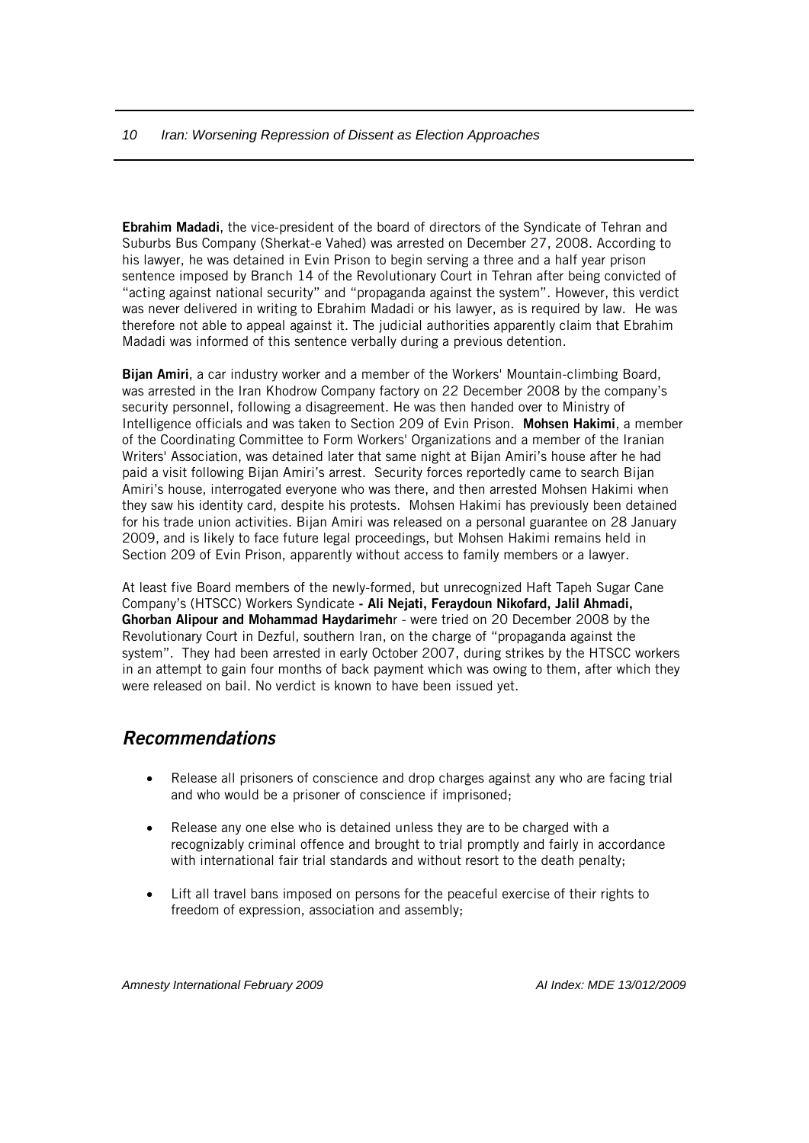Ebrahim Madadi, the vice-president of the board of directors of the Syndicate of Tehran and Suburbs Bus Company (Sherkat-e Vahed) was arrested on December 27, 2008. According to his lawyer, he was detained in Evin Prison to begin serving a three and a half year prison sentence imposed by Branch 14 of the Revolutionary Court in Tehran after being convicted of "acting against national security" and "propaganda against the system". However, this verdict was never delivered in writing to Ebrahim Madadi or his lawyer, as is required by law. He was therefore not able to appeal against it. The judicial authorities apparently claim that Ebrahim Madadi was informed of this sentence verbally during a previous detention.

Bijan Amiri, a car industry worker and a member of the Workers' Mountain-climbing Board, was arrested in the Iran Khodrow Company factory on 22 December 2008 by the company's security personnel, following a disagreement. He was then handed over to Ministry of Intelligence officials and was taken to Section 209 of Evin Prison. Mohsen Hakimi, a member of the Coordinating Committee to Form Workers' Organizations and a member of the Iranian Writers' Association, was detained later that same night at Bijan Amiri's house after he had paid a visit following Bijan Amiri's arrest. Security forces reportedly came to search Bijan Amiri's house, interrogated everyone who was there, and then arrested Mohsen Hakimi when they saw his identity card, despite his protests. Mohsen Hakimi has previously been detained for his trade union activities. Bijan Amiri was released on a personal guarantee on 28 January 2009, and is likely to face future legal proceedings, but Mohsen Hakimi remains held in Section 209 of Evin Prison, apparently without access to family members or a lawyer.

At least five Board members of the newly-formed, but unrecognized Haft Tapeh Sugar Cane Company's (HTSCC) Workers Syndicate - Ali Nejati, Feraydoun Nikofard, Jalil Ahmadi, Ghorban Alipour and Mohammad Haydarimehr - were tried on 20 December 2008 by the Revolutionary Court in Dezful, southern Iran, on the charge of "propaganda against the system". They had been arrested in early October 2007, during strikes by the HTSCC workers in an attempt to gain four months of back payment which was owing to them, after which they were released on bail. No verdict is known to have been issued yet.

#### *Recommendations*

- Release all prisoners of conscience and drop charges against any who are facing trial and who would be a prisoner of conscience if imprisoned;
- Release any one else who is detained unless they are to be charged with a recognizably criminal offence and brought to trial promptly and fairly in accordance with international fair trial standards and without resort to the death penalty;
- Lift all travel bans imposed on persons for the peaceful exercise of their rights to freedom of expression, association and assembly;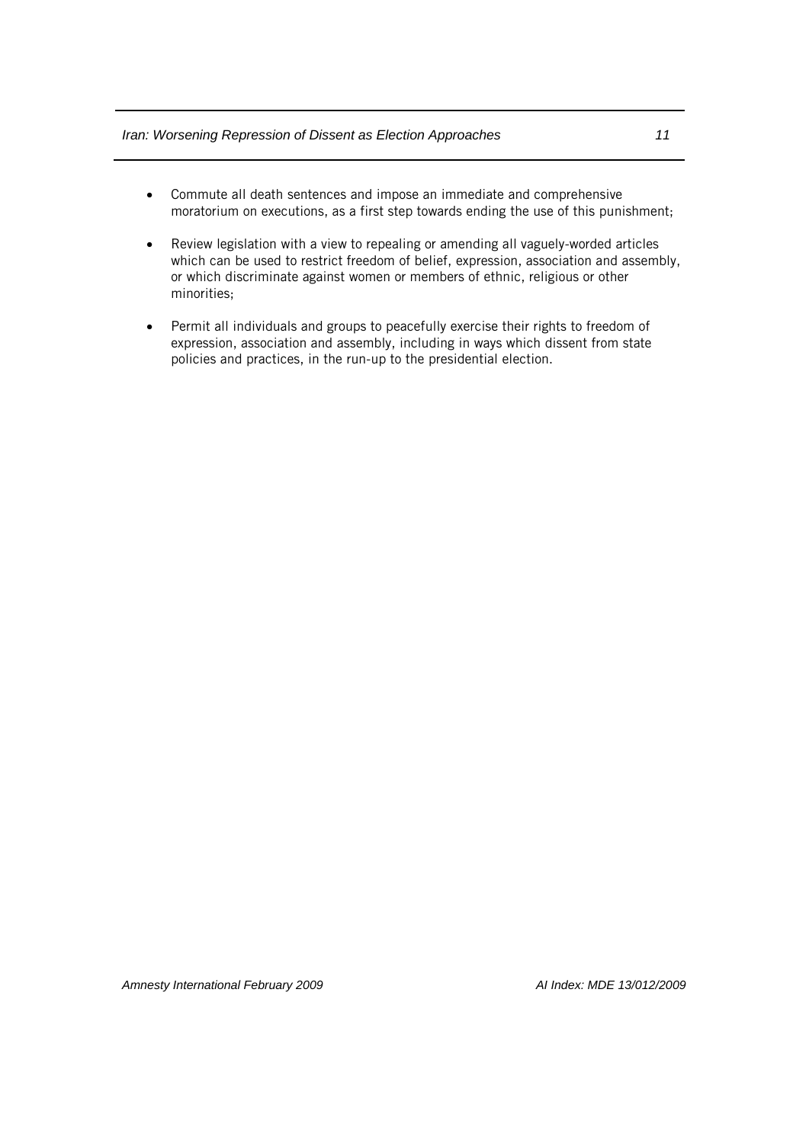- Commute all death sentences and impose an immediate and comprehensive moratorium on executions, as a first step towards ending the use of this punishment;
- Review legislation with a view to repealing or amending all vaguely-worded articles which can be used to restrict freedom of belief, expression, association and assembly, or which discriminate against women or members of ethnic, religious or other minorities;
- Permit all individuals and groups to peacefully exercise their rights to freedom of expression, association and assembly, including in ways which dissent from state policies and practices, in the run-up to the presidential election.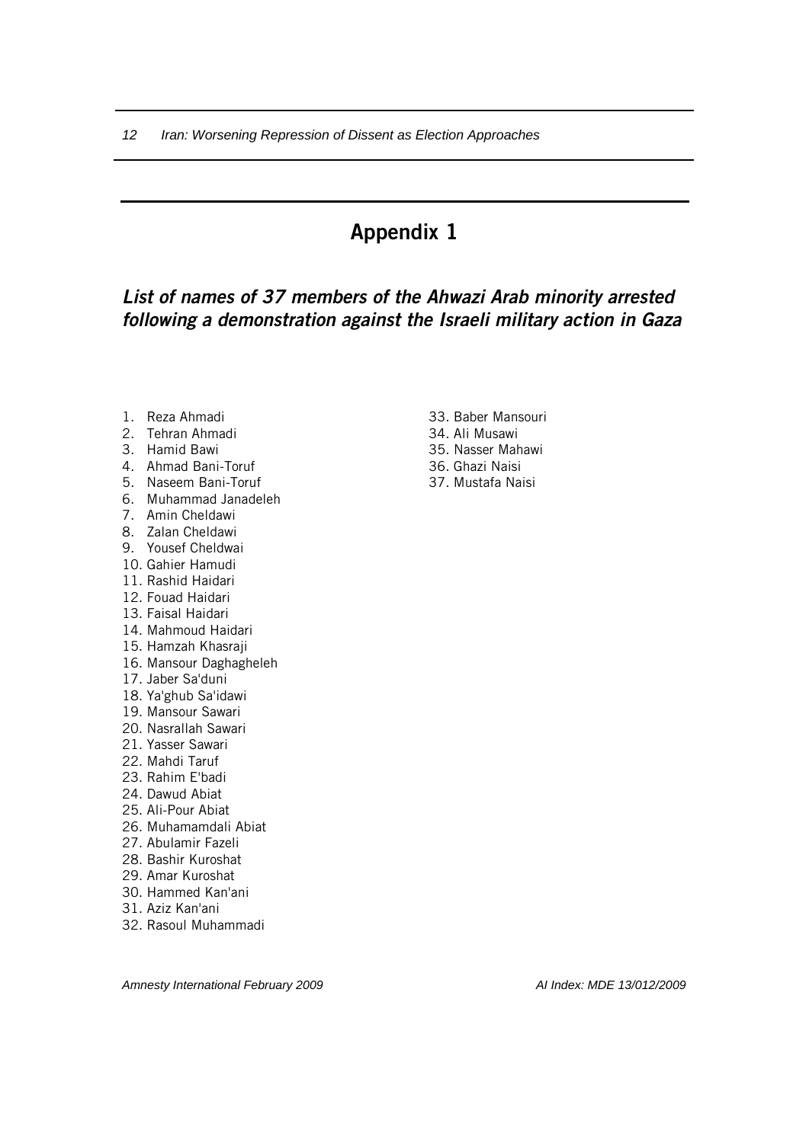## *List of names of 37 members of the Ahwazi Arab minority arrested following a demonstration against the Israeli military action in Gaza*

- 1. Reza Ahmadi
- 2. Tehran Ahmadi
- 3. Hamid Bawi
- 4. Ahmad Bani-Toruf
- 5. Naseem Bani-Toruf
- 6. Muhammad Janadeleh
- 7. Amin Cheldawi
- 8. Zalan Cheldawi
- 9. Yousef Cheldwai
- 10. Gahier Hamudi
- 11. Rashid Haidari
- 12. Fouad Haidari
- 13. Faisal Haidari
- 14. Mahmoud Haidari
- 15. Hamzah Khasraji
- 16. Mansour Daghagheleh
- 17. Jaber Sa'duni
- 18. Ya'ghub Sa'idawi
- 19. Mansour Sawari
- 20. Nasrallah Sawari
- 21. Yasser Sawari
- 22. Mahdi Taruf
- 23. Rahim E'badi
- 24. Dawud Abiat
- 25. Ali-Pour Abiat
- 26. Muhamamdali Abiat
- 27. Abulamir Fazeli
- 28. Bashir Kuroshat
- 29. Amar Kuroshat
- 30. Hammed Kan'ani
- 31. Aziz Kan'ani
- 32. Rasoul Muhammadi
- 33. Baber Mansouri
- 34. Ali Musawi
- 35. Nasser Mahawi
- 36. Ghazi Naisi
- 37. Mustafa Naisi

*Amnesty International February 2009 AI Index: MDE 13/012/2009*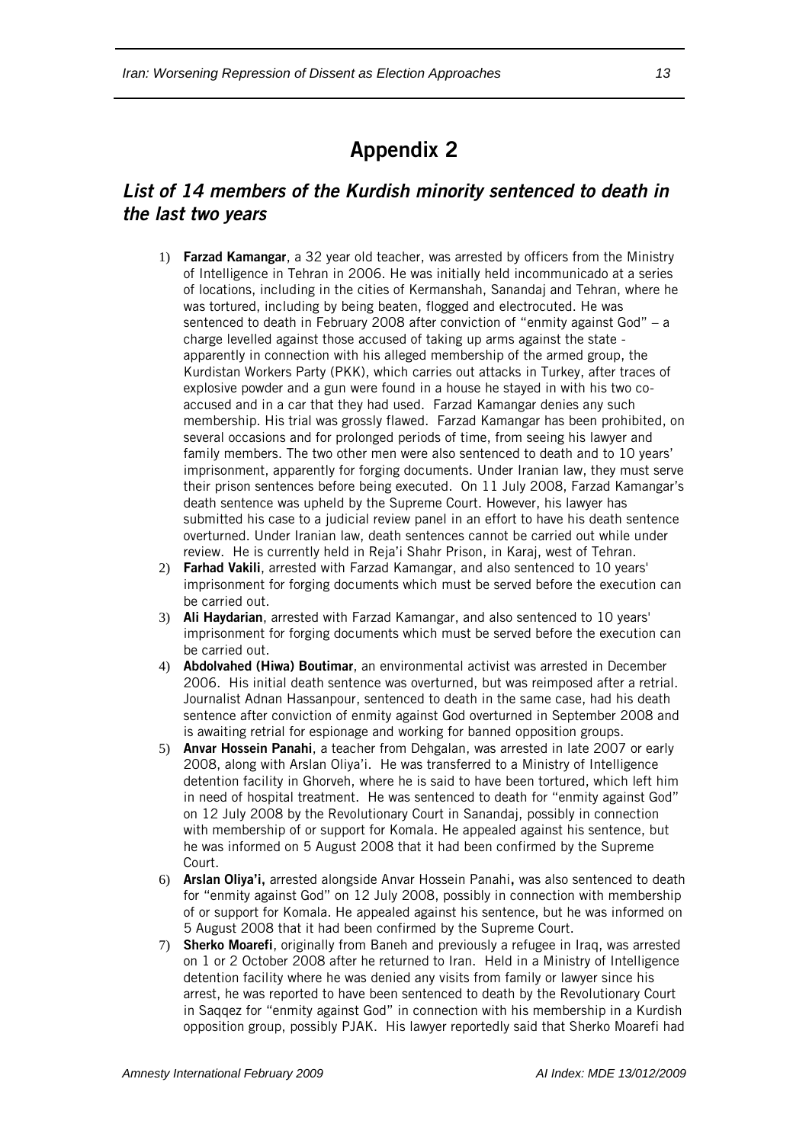## *List of 14 members of the Kurdish minority sentenced to death in the last two years*

- 1) Farzad Kamangar, a 32 year old teacher, was arrested by officers from the Ministry of Intelligence in Tehran in 2006. He was initially held incommunicado at a series of locations, including in the cities of Kermanshah, Sanandaj and Tehran, where he was tortured, including by being beaten, flogged and electrocuted. He was sentenced to death in February 2008 after conviction of "enmity against God" – a charge levelled against those accused of taking up arms against the state apparently in connection with his alleged membership of the armed group, the Kurdistan Workers Party (PKK), which carries out attacks in Turkey, after traces of explosive powder and a gun were found in a house he stayed in with his two coaccused and in a car that they had used. Farzad Kamangar denies any such membership. His trial was grossly flawed. Farzad Kamangar has been prohibited, on several occasions and for prolonged periods of time, from seeing his lawyer and family members. The two other men were also sentenced to death and to 10 years' imprisonment, apparently for forging documents. Under Iranian law, they must serve their prison sentences before being executed. On 11 July 2008, Farzad Kamangar's death sentence was upheld by the Supreme Court. However, his lawyer has submitted his case to a judicial review panel in an effort to have his death sentence overturned. Under Iranian law, death sentences cannot be carried out while under review. He is currently held in Reja'i Shahr Prison, in Karaj, west of Tehran.
- 2) Farhad Vakili, arrested with Farzad Kamangar, and also sentenced to 10 years' imprisonment for forging documents which must be served before the execution can be carried out.
- 3) Ali Haydarian, arrested with Farzad Kamangar, and also sentenced to 10 years' imprisonment for forging documents which must be served before the execution can be carried out.
- 4) Abdolvahed (Hiwa) Boutimar, an environmental activist was arrested in December 2006. His initial death sentence was overturned, but was reimposed after a retrial. Journalist Adnan Hassanpour, sentenced to death in the same case, had his death sentence after conviction of enmity against God overturned in September 2008 and is awaiting retrial for espionage and working for banned opposition groups.
- 5) Anvar Hossein Panahi, a teacher from Dehgalan, was arrested in late 2007 or early 2008, along with Arslan Oliya'i. He was transferred to a Ministry of Intelligence detention facility in Ghorveh, where he is said to have been tortured, which left him in need of hospital treatment. He was sentenced to death for "enmity against God" on 12 July 2008 by the Revolutionary Court in Sanandaj, possibly in connection with membership of or support for Komala. He appealed against his sentence, but he was informed on 5 August 2008 that it had been confirmed by the Supreme Court.
- 6) Arslan Oliya'i, arrested alongside Anvar Hossein Panahi, was also sentenced to death for "enmity against God" on 12 July 2008, possibly in connection with membership of or support for Komala. He appealed against his sentence, but he was informed on 5 August 2008 that it had been confirmed by the Supreme Court.
- 7) Sherko Moarefi, originally from Baneh and previously a refugee in Iraq, was arrested on 1 or 2 October 2008 after he returned to Iran. Held in a Ministry of Intelligence detention facility where he was denied any visits from family or lawyer since his arrest, he was reported to have been sentenced to death by the Revolutionary Court in Saqqez for "enmity against God" in connection with his membership in a Kurdish opposition group, possibly PJAK. His lawyer reportedly said that Sherko Moarefi had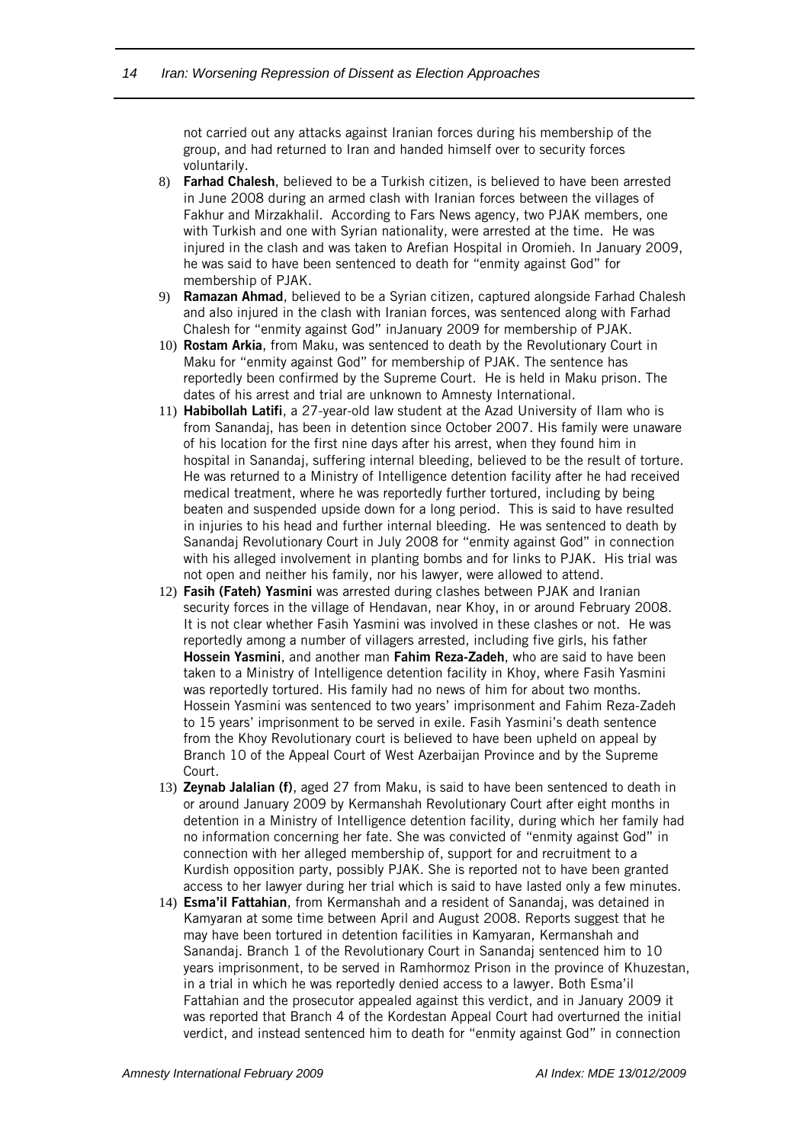not carried out any attacks against Iranian forces during his membership of the group, and had returned to Iran and handed himself over to security forces voluntarily.

- 8) Farhad Chalesh, believed to be a Turkish citizen, is believed to have been arrested in June 2008 during an armed clash with Iranian forces between the villages of Fakhur and Mirzakhalil. According to Fars News agency, two PJAK members, one with Turkish and one with Syrian nationality, were arrested at the time. He was injured in the clash and was taken to Arefian Hospital in Oromieh. In January 2009, he was said to have been sentenced to death for "enmity against God" for membership of PJAK.
- 9) Ramazan Ahmad, believed to be a Syrian citizen, captured alongside Farhad Chalesh and also injured in the clash with Iranian forces, was sentenced along with Farhad Chalesh for "enmity against God" inJanuary 2009 for membership of PJAK.
- 10) Rostam Arkia, from Maku, was sentenced to death by the Revolutionary Court in Maku for "enmity against God" for membership of PJAK. The sentence has reportedly been confirmed by the Supreme Court. He is held in Maku prison. The dates of his arrest and trial are unknown to Amnesty International.
- 11) Habibollah Latifi, a 27-year-old law student at the Azad University of Ilam who is from Sanandaj, has been in detention since October 2007. His family were unaware of his location for the first nine days after his arrest, when they found him in hospital in Sanandaj, suffering internal bleeding, believed to be the result of torture. He was returned to a Ministry of Intelligence detention facility after he had received medical treatment, where he was reportedly further tortured, including by being beaten and suspended upside down for a long period. This is said to have resulted in injuries to his head and further internal bleeding. He was sentenced to death by Sanandaj Revolutionary Court in July 2008 for "enmity against God" in connection with his alleged involvement in planting bombs and for links to PJAK. His trial was not open and neither his family, nor his lawyer, were allowed to attend.
- 12) Fasih (Fateh) Yasmini was arrested during clashes between PJAK and Iranian security forces in the village of Hendavan, near Khoy, in or around February 2008. It is not clear whether Fasih Yasmini was involved in these clashes or not. He was reportedly among a number of villagers arrested, including five girls, his father Hossein Yasmini, and another man Fahim Reza-Zadeh, who are said to have been taken to a Ministry of Intelligence detention facility in Khoy, where Fasih Yasmini was reportedly tortured. His family had no news of him for about two months. Hossein Yasmini was sentenced to two years' imprisonment and Fahim Reza-Zadeh to 15 years' imprisonment to be served in exile. Fasih Yasmini's death sentence from the Khoy Revolutionary court is believed to have been upheld on appeal by Branch 10 of the Appeal Court of West Azerbaijan Province and by the Supreme Court.
- 13) Zeynab Jalalian (f), aged 27 from Maku, is said to have been sentenced to death in or around January 2009 by Kermanshah Revolutionary Court after eight months in detention in a Ministry of Intelligence detention facility, during which her family had no information concerning her fate. She was convicted of "enmity against God" in connection with her alleged membership of, support for and recruitment to a Kurdish opposition party, possibly PJAK. She is reported not to have been granted access to her lawyer during her trial which is said to have lasted only a few minutes.
- 14) Esma'il Fattahian, from Kermanshah and a resident of Sanandaj, was detained in Kamyaran at some time between April and August 2008. Reports suggest that he may have been tortured in detention facilities in Kamyaran, Kermanshah and Sanandaj. Branch 1 of the Revolutionary Court in Sanandaj sentenced him to 10 years imprisonment, to be served in Ramhormoz Prison in the province of Khuzestan, in a trial in which he was reportedly denied access to a lawyer. Both Esma'il Fattahian and the prosecutor appealed against this verdict, and in January 2009 it was reported that Branch 4 of the Kordestan Appeal Court had overturned the initial verdict, and instead sentenced him to death for "enmity against God" in connection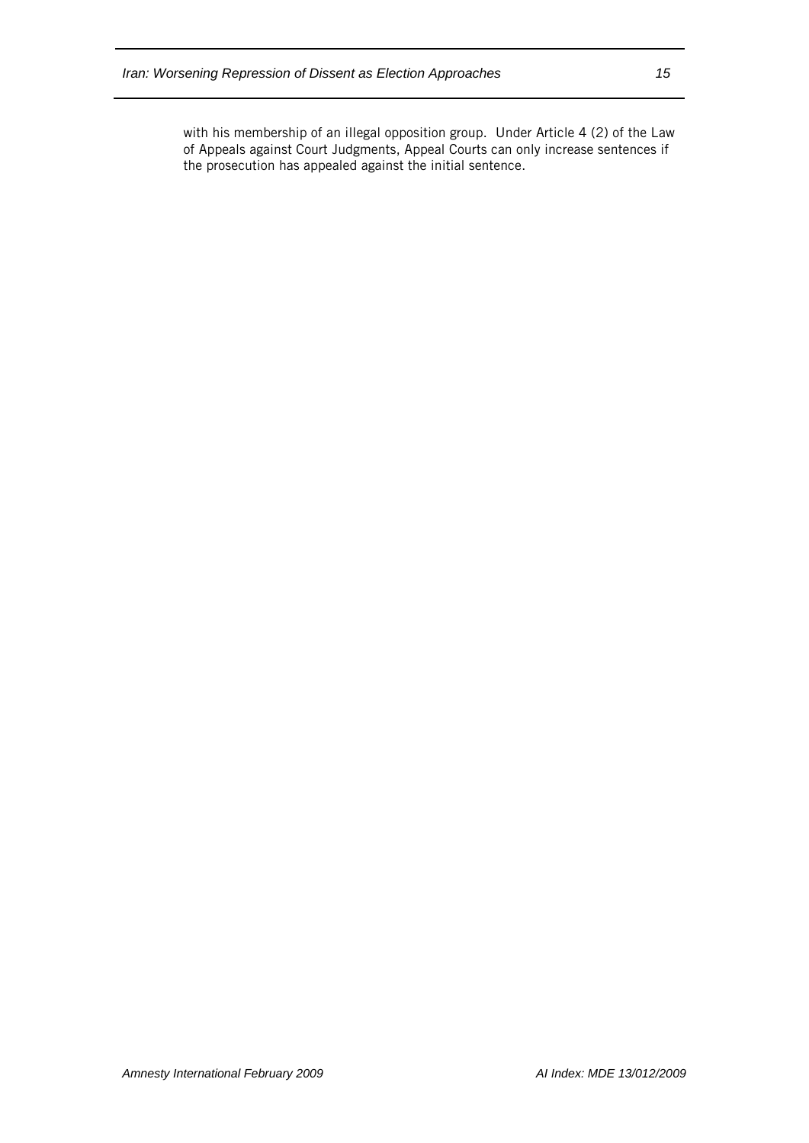with his membership of an illegal opposition group. Under Article 4 (2) of the Law of Appeals against Court Judgments, Appeal Courts can only increase sentences if the prosecution has appealed against the initial sentence.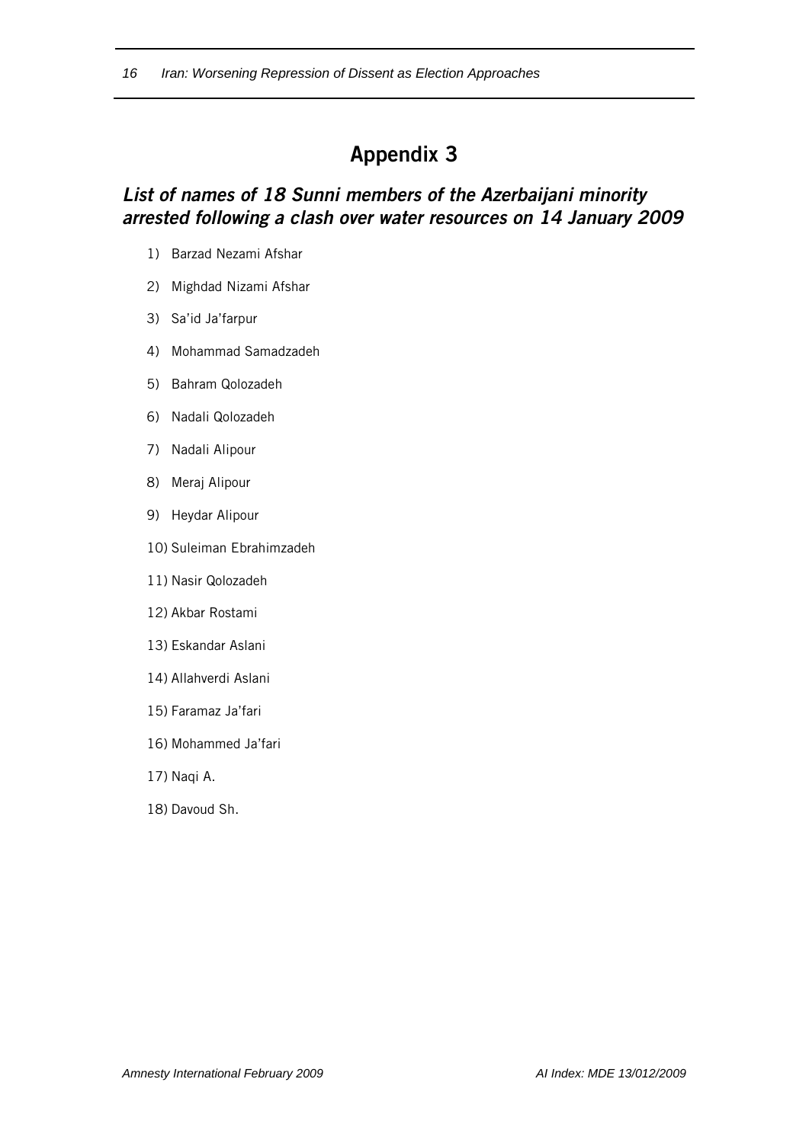## *List of names of 18 Sunni members of the Azerbaijani minority arrested following a clash over water resources on 14 January 2009*

- 1) Barzad Nezami Afshar
- 2) Mighdad Nizami Afshar
- 3) Sa'id Ja'farpur
- 4) Mohammad Samadzadeh
- 5) Bahram Qolozadeh
- 6) Nadali Qolozadeh
- 7) Nadali Alipour
- 8) Meraj Alipour
- 9) Heydar Alipour
- 10) Suleiman Ebrahimzadeh
- 11) Nasir Qolozadeh
- 12) Akbar Rostami
- 13) Eskandar Aslani
- 14) Allahverdi Aslani
- 15) Faramaz Ja'fari
- 16) Mohammed Ja'fari
- 17) Naqi A.
- 18) Davoud Sh.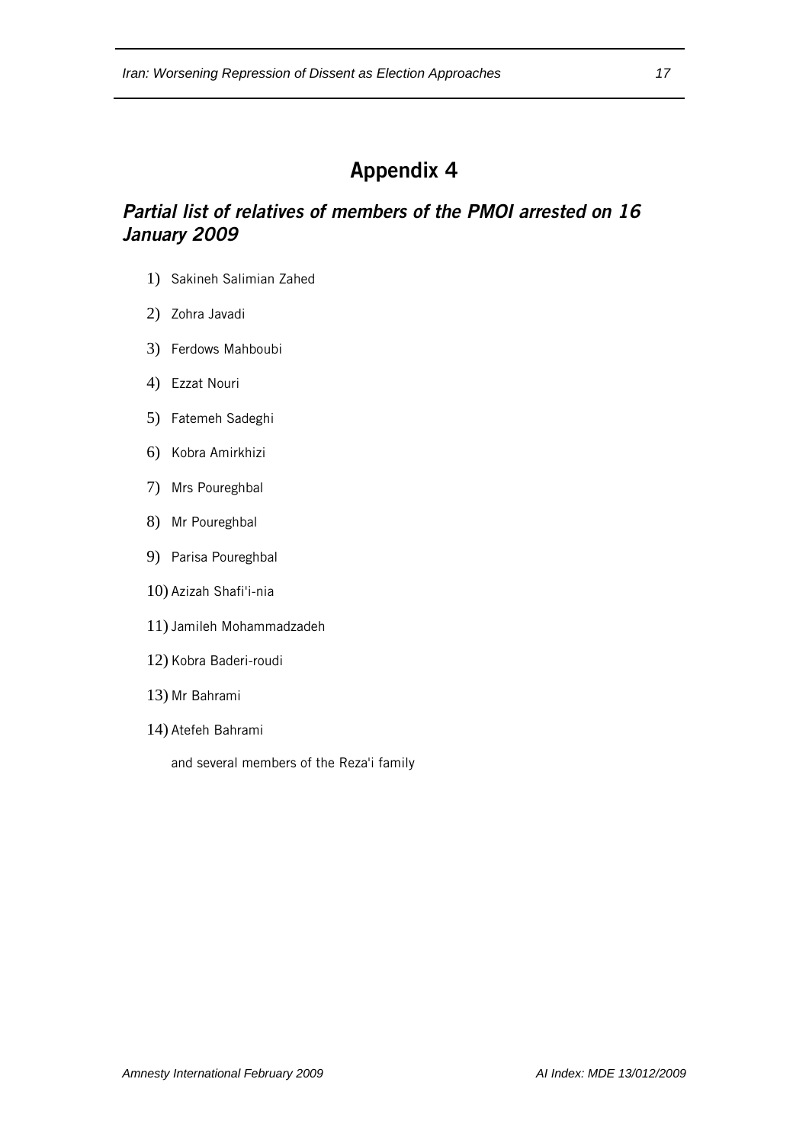## *Partial list of relatives of members of the PMOI arrested on 16 January 2009*

- 1) Sakineh Salimian Zahed
- 2) Zohra Javadi
- 3) Ferdows Mahboubi
- 4) Ezzat Nouri
- 5) Fatemeh Sadeghi
- 6) Kobra Amirkhizi
- 7) Mrs Poureghbal
- 8) Mr Poureghbal
- 9) Parisa Poureghbal
- 10) Azizah Shafi'i-nia
- 11) Jamileh Mohammadzadeh
- 12) Kobra Baderi-roudi
- 13) Mr Bahrami
- 14) Atefeh Bahrami

and several members of the Reza'i family